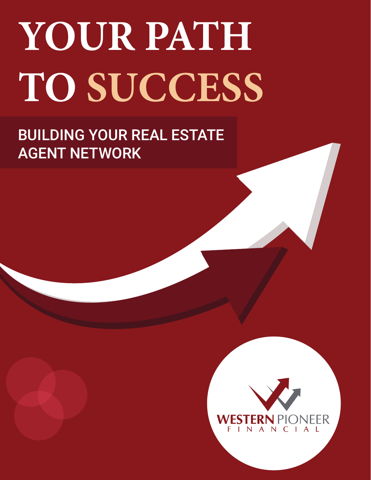# **YOUR PATH TO SUCCESS**

# BUILDING YOUR REAL ESTATE AGENT NETWORK

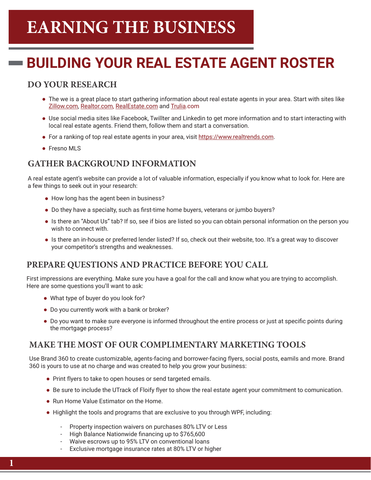# **EARNING THE BUSINESS**

## **BUILDING YOUR REAL ESTATE AGENT ROSTER**

### **DO YOUR RESEARCH**

- The we is a great place to start gathering information about real estate agents in your area. Start with sites like Zillow.com, Realtor.com, RealEstate.com and Trulia.com
- Use social media sites like Facebook, Twillter and Linkedin to get more information and to start interacting with local real estate agents. Friend them, follow them and start a conversation.
- For a ranking of top real estate agents in your area, visit https://www.realtrends.com.
- **•** Fresno MLS

### **GATHER BACKGROUND INFORMATION**

A real estate agent's website can provide a lot of valuable information, especially if you know what to look for. Here are a few things to seek out in your research:

- How long has the agent been in business?
- Do they have a specialty, such as first-time home buyers, veterans or jumbo buyers?
- Is there an "About Us" tab? If so, see if bios are listed so you can obtain personal information on the person you wish to connect with.
- Is there an in-house or preferred lender listed? If so, check out their website, too. It's a great way to discover your competitor's strengths and weaknesses.

### **PREPARE QUESTIONS AND PRACTICE BEFORE YOU CALL**

First impressions are everything. Make sure you have a goal for the call and know what you are trying to accomplish. Here are some questions you'll want to ask:

- What type of buyer do you look for?
- Do you currently work with a bank or broker?
- Do you want to make sure everyone is informed throughout the entire process or just at specific points during the mortgage process?

### **MAKE THE MOST OF OUR COMPLIMENTARY MARKETING TOOLS**

Use Brand 360 to create customizable, agents-facing and borrower-facing flyers, social posts, eamils and more. Brand 360 is yours to use at no charge and was created to help you grow your business:

- Print flyers to take to open houses or send targeted emails.
- Be sure to include the UTrack of Floify flyer to show the real estate agent your commitment to comunication.
- Run Home Value Estimator on the Home.
- Highlight the tools and programs that are exclusive to you through WPF, including:
	- Property inspection waivers on purchases 80% LTV or Less
	- High Balance Nationwide financing up to \$765,600
	- Waive escrows up to 95% LTV on conventional loans
	- Exclusive mortgage insurance rates at 80% LTV or higher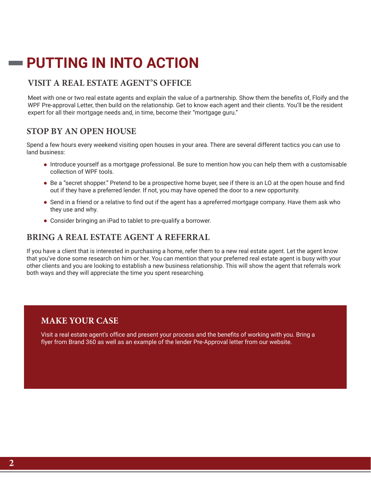### **PUTTING IN INTO ACTION**

### **VISIT A REAL ESTATE AGENT'S OFFICE**

Meet with one or two real estate agents and explain the value of a partnership. Show them the benefits of, Floify and the WPF Pre-approval Letter, then build on the relationship. Get to know each agent and their clients. You'll be the resident expert for all their mortgage needs and, in time, become their "mortgage guru."

### **STOP BY AN OPEN HOUSE**

 $\sim 10^{-1}$ 

Spend a few hours every weekend visiting open houses in your area. There are several different tactics you can use to land business:

- Introduce yourself as a mortgage professional. Be sure to mention how you can help them with a customisable collection of WPF tools.
- Be a "secret shopper." Pretend to be a prospective home buyer, see if there is an LO at the open house and find out if they have a preferred lender. If not, you may have opened the door to a new opportunity.
- **Make The MOST OF OUR COMPLIMENTARY MARKETING TO OUR CONSTRUCTION** Send in a friend or a relative to find out if the agent has a apreferred mortgage company. Have them ask who they use and why.
- $U$ se Brand 360 to create customizable, agents-facing and  $\alpha$  posts, each posts, eamily and more. Brand more. Brand Consider bringing an iPad to tablet to pre-qualify a borrower.

### **BRING A REAL ESTATE AGENT A REFERRAL**

that you've done some research on him or her. You can mention that your preferred real estate agent is busy with your other clients and you are looking to establish a new business relationship. This will show the agent that referrals work Highlight the tools and programs that are exclusive to you through WPF, including: If you have a client that is interested in purchasing a home, refer them to a new real estate agent. Let the agent know both ways and they will appreciate the time you spent researching.

### $\mathbf{MAKE}$  YOUR CASE

Visit a real estate agent's office and present your process and the benefits of working with you. Bring a flyer from Brand 360 as well as an example of the lender Pre-Approval letter from our website.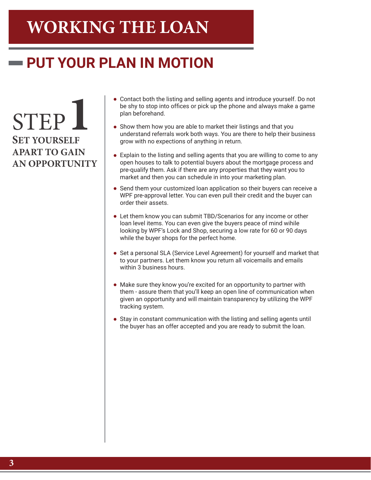# **WORKING THE LOAN**

## **PUT YOUR PLAN IN MOTION**

STEP**1 SET YOURSELF APART TO GAIN AN OPPORTUNITY**

- Contact both the listing and selling agents and introduce yourself. Do not be shy to stop into offices or pick up the phone and always make a game plan beforehand.
- Show them how you are able to market their listings and that you understand referrals work both ways. You are there to help their business grow with no expections of anything in return.
- Explain to the listing and selling agents that you are willing to come to any open houses to talk to potential buyers about the mortgage process and pre-qualify them. Ask if there are any properties that they want you to market and then you can schedule in into your marketing plan.
- Send them your customized loan application so their buyers can receive a WPF pre-approval letter. You can even pull their credit and the buyer can order their assets.
- Let them know you can submit TBD/Scenarios for any income or other loan level items. You can even give the buyers peace of mind wihile looking by WPF's Lock and Shop, securing a low rate for 60 or 90 days while the buyer shops for the perfect home.
- Set a personal SLA (Service Level Agreement) for yourself and market that to your partners. Let them know you return all voicemails and emails within 3 business hours.
- Make sure they know you're excited for an opportunity to partner with them - assure them that you'll keep an open line of communication when given an opportunity and will maintain transparency by utilizing the WPF tracking system.
- Stay in constant communication with the listing and selling agents until the buyer has an offer accepted and you are ready to submit the loan.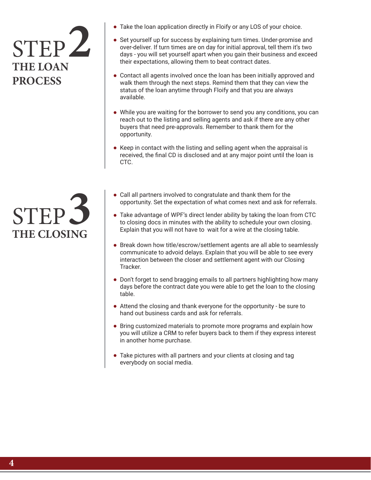# STEP**2 THE LOAN PROCESS**

STEP**3 THE CLOSING**

- Take the loan application directly in Floify or any LOS of your choice.
- Set yourself up for success by explaining turn times. Under-promise and over-deliver. If turn times are on day for initial approval, tell them it's two days - you will set yourself apart when you gain their business and exceed their expectations, allowing them to beat contract dates.
- Contact all agents involved once the loan has been initially approved and walk them through the next steps. Remind them that they can view the status of the loan anytime through Floify and that you are always available.
- While you are waiting for the borrower to send you any conditions, you can reach out to the listing and selling agents and ask if there are any other buyers that need pre-approvals. Remember to thank them for the opportunity.
- Keep in contact with the listing and selling agent when the appraisal is received, the final CD is disclosed and at any major point until the loan is CTC.
- Call all partners involved to congratulate and thank them for the opportunity. Set the expectation of what comes next and ask for referrals.
- Take advantage of WPF's direct lender ability by taking the loan from CTC to closing docs in minutes with the ability to schedule your own closing. Explain that you will not have to wait for a wire at the closing table.
- Break down how title/escrow/settlement agents are all able to seamlessly communicate to advoid delays. Explain that you will be able to see every interaction between the closer and settlement agent with our Closing Tracker.
- Don't forget to send bragging emails to all partners highlighting how many days before the contract date you were able to get the loan to the closing table.
- Attend the closing and thank everyone for the opportunity be sure to hand out business cards and ask for referrals.
- Bring customized materials to promote more programs and explain how you will utilize a CRM to refer buyers back to them if they express interest in another home purchase.
- Take pictures with all partners and your clients at closing and tag everybody on social media.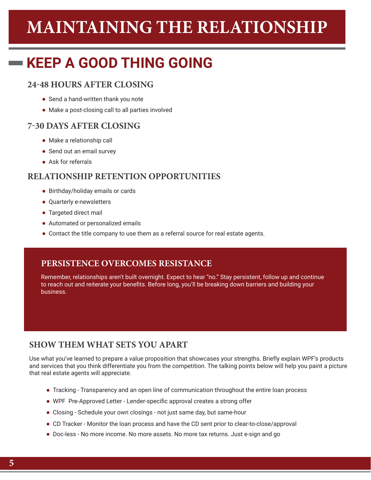# **MAINTAINING THE RELATIONSHIP**

## **KEEP A GOOD THING GOING**

### **24-48 HOURS AFTER CLOSING**

- Send a hand-written thank you note
- Make a post-closing call to all parties involved

### **7-30 DAYS AFTER CLOSING**

- Make a relationship call
- Send out an email survey
- Ask for referrals

#### **RELATIONSHIP RETENTION OPPORTUNITIES**

- Birthday/holiday emails or cards
- Quarterly e-newsletters
- Targeted direct mail
- Automated or personalized emails
- Contact the title company to use them as a referral source for real estate agents.

#### **PERSISTENCE OVERCOMES RESISTANCE**

Remember, relationships aren't built overnight. Expect to hear "no." Stay persistent, follow up and continue to reach out and reiterate your benefits. Before long, you'll be breaking down barriers and building your business.

### **SHOW THEM WHAT SETS YOU APART**

Use what you've learned to prepare a value proposition that showcases your strengths. Briefly explain WPF's products and services that you think differentiate you from the competition. The talking points below will help you paint a picture that real estate agents will appreciate.

- Tracking Transparency and an open line of communication throughout the entire loan process
- WPF Pre-Approved Letter Lender-specific approval creates a strong offer
- Closing Schedule your own closings not just same day, but same-hour
- CD Tracker Monitor the loan process and have the CD sent prior to clear-to-close/approval
- Doc-less No more income. No more assets. No more tax returns. Just e-sign and go